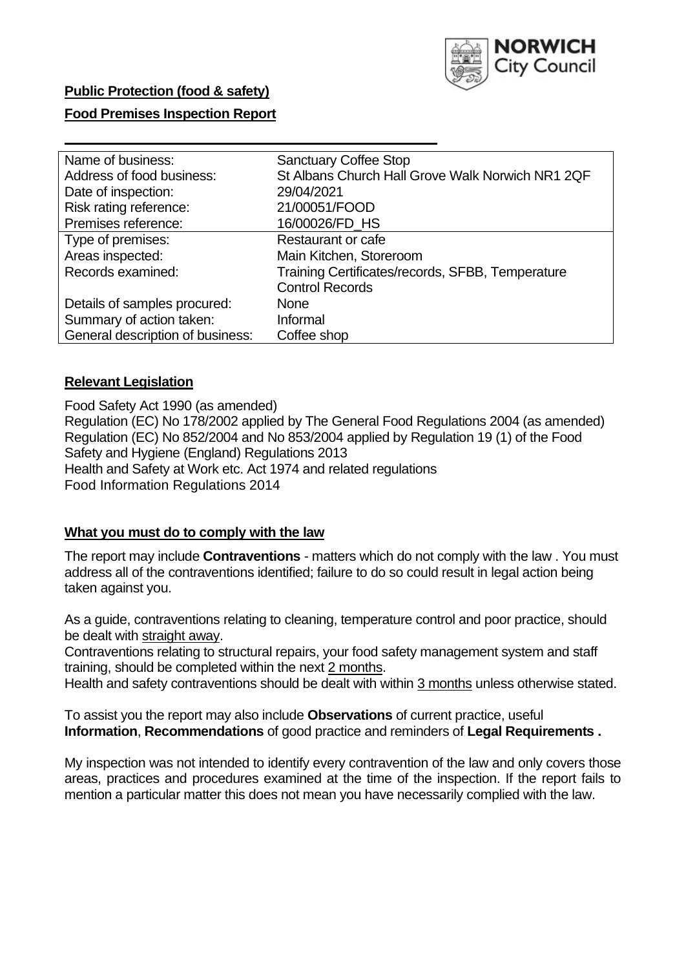

## **Public Protection (food & safety)**

## **Food Premises Inspection Report**

| Name of business:                | <b>Sanctuary Coffee Stop</b>                     |  |  |  |  |
|----------------------------------|--------------------------------------------------|--|--|--|--|
| Address of food business:        | St Albans Church Hall Grove Walk Norwich NR1 2QF |  |  |  |  |
| Date of inspection:              | 29/04/2021                                       |  |  |  |  |
| Risk rating reference:           | 21/00051/FOOD                                    |  |  |  |  |
| Premises reference:              | 16/00026/FD_HS                                   |  |  |  |  |
| Type of premises:                | <b>Restaurant or cafe</b>                        |  |  |  |  |
| Areas inspected:                 | Main Kitchen, Storeroom                          |  |  |  |  |
| Records examined:                | Training Certificates/records, SFBB, Temperature |  |  |  |  |
|                                  | <b>Control Records</b>                           |  |  |  |  |
| Details of samples procured:     | <b>None</b>                                      |  |  |  |  |
| Summary of action taken:         | Informal                                         |  |  |  |  |
| General description of business: | Coffee shop                                      |  |  |  |  |

## **Relevant Legislation**

 Food Safety Act 1990 (as amended) Regulation (EC) No 178/2002 applied by The General Food Regulations 2004 (as amended) Regulation (EC) No 852/2004 and No 853/2004 applied by Regulation 19 (1) of the Food Safety and Hygiene (England) Regulations 2013 Health and Safety at Work etc. Act 1974 and related regulations Food Information Regulations 2014

## **What you must do to comply with the law**

 The report may include **Contraventions** - matters which do not comply with the law . You must address all of the contraventions identified; failure to do so could result in legal action being taken against you.

 As a guide, contraventions relating to cleaning, temperature control and poor practice, should be dealt with straight away.

 Contraventions relating to structural repairs, your food safety management system and staff training, should be completed within the next 2 months.

Health and safety contraventions should be dealt with within 3 months unless otherwise stated.

 To assist you the report may also include **Observations** of current practice, useful **Information**, **Recommendations** of good practice and reminders of **Legal Requirements .** 

 My inspection was not intended to identify every contravention of the law and only covers those areas, practices and procedures examined at the time of the inspection. If the report fails to mention a particular matter this does not mean you have necessarily complied with the law.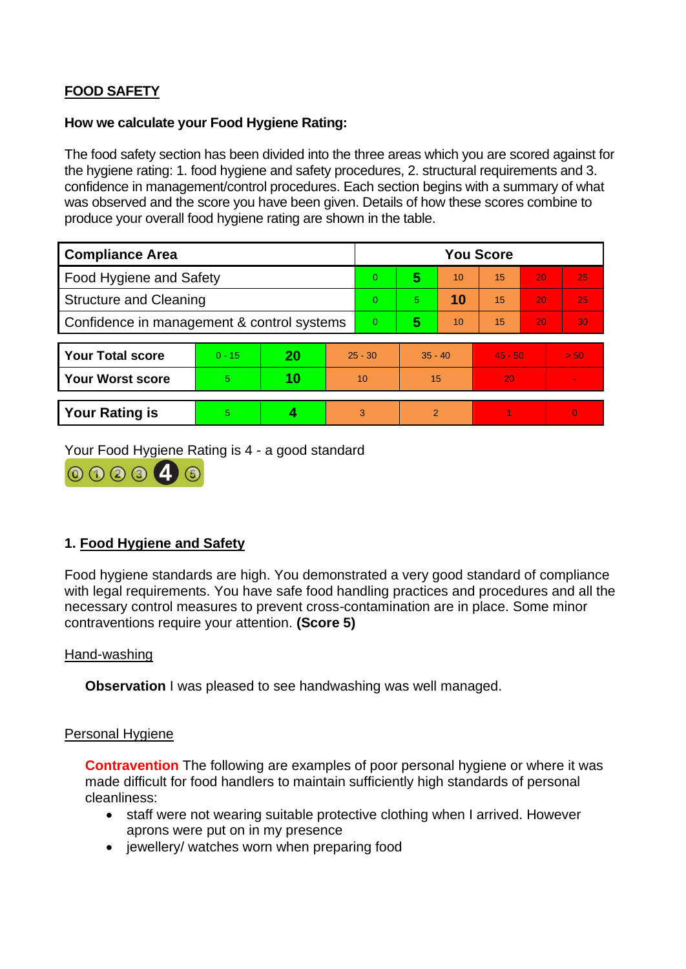# **FOOD SAFETY**

### **How we calculate your Food Hygiene Rating:**

 The food safety section has been divided into the three areas which you are scored against for the hygiene rating: 1. food hygiene and safety procedures, 2. structural requirements and 3. confidence in management/control procedures. Each section begins with a summary of what was observed and the score you have been given. Details of how these scores combine to produce your overall food hygiene rating are shown in the table.

| <b>Compliance Area</b>                     |          |    |           | <b>You Score</b> |                |    |           |    |                |  |  |
|--------------------------------------------|----------|----|-----------|------------------|----------------|----|-----------|----|----------------|--|--|
| Food Hygiene and Safety                    |          |    |           | $\Omega$         | 5              | 10 | 15        | 20 | 25             |  |  |
| <b>Structure and Cleaning</b>              |          |    |           | $\Omega$         | 5.             | 10 | 15        | 20 | 25             |  |  |
| Confidence in management & control systems |          |    | $\Omega$  | 5                | 10             | 15 | 20        | 30 |                |  |  |
|                                            |          |    |           |                  |                |    |           |    |                |  |  |
| <b>Your Total score</b>                    | $0 - 15$ | 20 | $25 - 30$ |                  | $35 - 40$      |    | $45 - 50$ |    | > 50           |  |  |
| Your Worst score                           | 5.       | 10 | 10        |                  | 15             |    | 20        |    | $\blacksquare$ |  |  |
|                                            |          |    |           |                  |                |    |           |    |                |  |  |
| <b>Your Rating is</b>                      | 5        |    |           | 3                | $\overline{2}$ |    |           |    | $\Omega$       |  |  |

Your Food Hygiene Rating is 4 - a good standard



## **1. Food Hygiene and Safety**

 with legal requirements. You have safe food handling practices and procedures and all the Food hygiene standards are high. You demonstrated a very good standard of compliance necessary control measures to prevent cross-contamination are in place. Some minor contraventions require your attention. **(Score 5)** 

## Hand-washing

**Observation** I was pleased to see handwashing was well managed.

#### Personal Hygiene

 made difficult for food handlers to maintain sufficiently high standards of personal **Contravention** The following are examples of poor personal hygiene or where it was cleanliness:

- staff were not wearing suitable protective clothing when I arrived. However aprons were put on in my presence
- jewellery/ watches worn when preparing food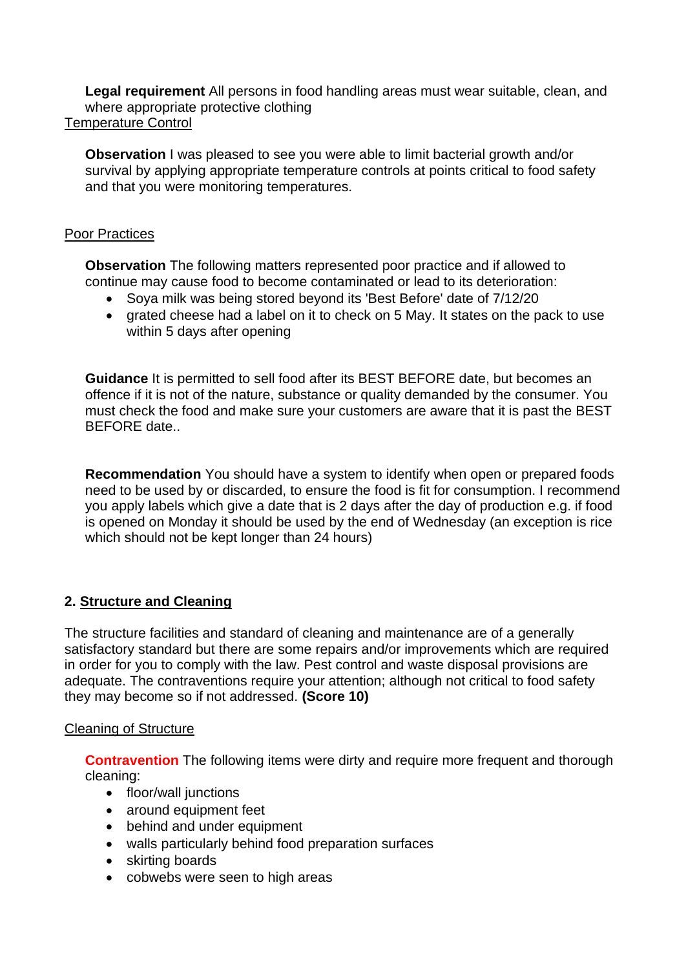**Legal requirement** All persons in food handling areas must wear suitable, clean, and where appropriate protective clothing Temperature Control

**Observation** I was pleased to see you were able to limit bacterial growth and/or survival by applying appropriate temperature controls at points critical to food safety and that you were monitoring temperatures.

### Poor Practices

 **Observation** The following matters represented poor practice and if allowed to continue may cause food to become contaminated or lead to its deterioration:

- Soya milk was being stored beyond its 'Best Before' date of 7/12/20
- • grated cheese had a label on it to check on 5 May. It states on the pack to use within 5 days after opening

 must check the food and make sure your customers are aware that it is past the BEST **Guidance** It is permitted to sell food after its BEST BEFORE date, but becomes an offence if it is not of the nature, substance or quality demanded by the consumer. You BEFORE date..

**Recommendation** You should have a system to identify when open or prepared foods need to be used by or discarded, to ensure the food is fit for consumption. I recommend you apply labels which give a date that is 2 days after the day of production e.g. if food is opened on Monday it should be used by the end of Wednesday (an exception is rice which should not be kept longer than 24 hours)

## **2. Structure and Cleaning**

The structure facilities and standard of cleaning and maintenance are of a generally satisfactory standard but there are some repairs and/or improvements which are required in order for you to comply with the law. Pest control and waste disposal provisions are adequate. The contraventions require your attention; although not critical to food safety they may become so if not addressed. **(Score 10)** 

## Cleaning of Structure

**Contravention** The following items were dirty and require more frequent and thorough cleaning:

- floor/wall junctions
- around equipment feet
- behind and under equipment
- walls particularly behind food preparation surfaces
- skirting boards
- cobwebs were seen to high areas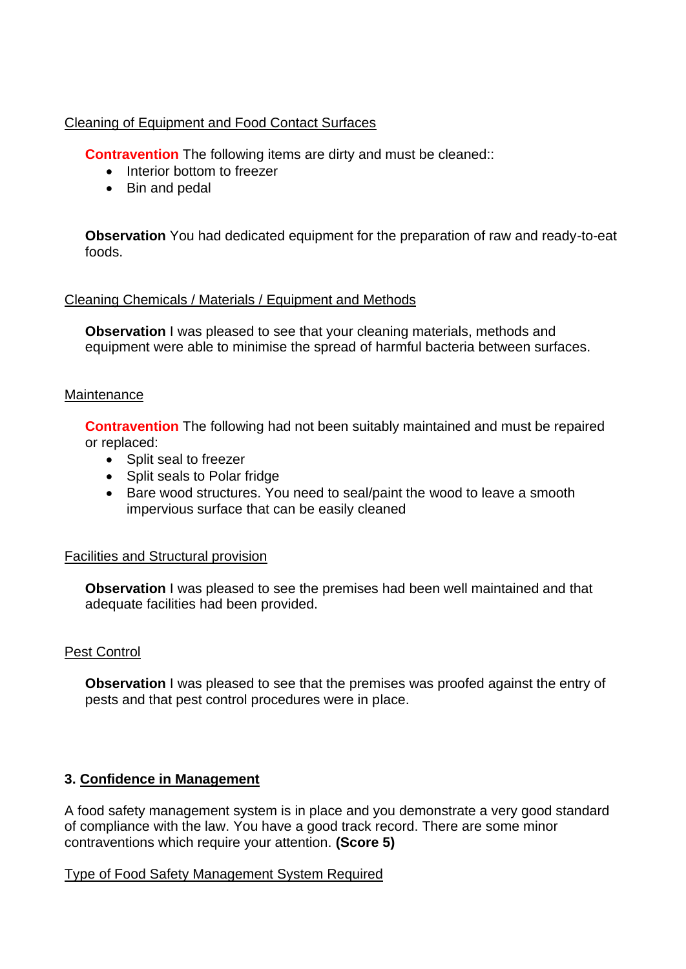## Cleaning of Equipment and Food Contact Surfaces

**Contravention** The following items are dirty and must be cleaned::

- Interior bottom to freezer
- Bin and pedal

 **Observation** You had dedicated equipment for the preparation of raw and ready-to-eat foods.

## Cleaning Chemicals / Materials / Equipment and Methods

**Observation** I was pleased to see that your cleaning materials, methods and equipment were able to minimise the spread of harmful bacteria between surfaces.

## **Maintenance**

**Contravention** The following had not been suitably maintained and must be repaired or replaced:

- Split seal to freezer
- Split seals to Polar fridge
- • Bare wood structures. You need to seal/paint the wood to leave a smooth impervious surface that can be easily cleaned

## Facilities and Structural provision

 **Observation** I was pleased to see the premises had been well maintained and that adequate facilities had been provided.

## Pest Control

**Observation** I was pleased to see that the premises was proofed against the entry of pests and that pest control procedures were in place.

## **3. Confidence in Management**

A food safety management system is in place and you demonstrate a very good standard of compliance with the law. You have a good track record. There are some minor contraventions which require your attention. **(Score 5)** 

## Type of Food Safety Management System Required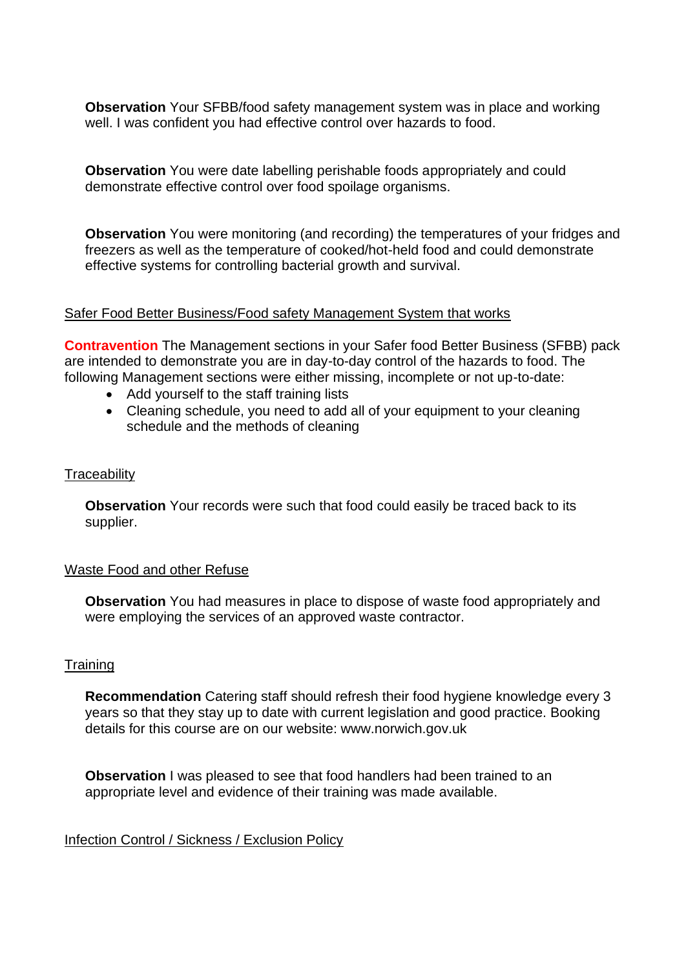**Observation** Your SFBB/food safety management system was in place and working well. I was confident you had effective control over hazards to food.

 demonstrate effective control over food spoilage organisms. **Observation** You were date labelling perishable foods appropriately and could

**Observation** You were monitoring (and recording) the temperatures of your fridges and freezers as well as the temperature of cooked/hot-held food and could demonstrate effective systems for controlling bacterial growth and survival.

## Safer Food Better Business/Food safety Management System that works

 are intended to demonstrate you are in day-to-day control of the hazards to food. The **Contravention** The Management sections in your Safer food Better Business (SFBB) pack following Management sections were either missing, incomplete or not up-to-date:

- Add yourself to the staff training lists
- • Cleaning schedule, you need to add all of your equipment to your cleaning schedule and the methods of cleaning

### **Traceability**

**Observation** Your records were such that food could easily be traced back to its supplier.

#### Waste Food and other Refuse

 **Observation** You had measures in place to dispose of waste food appropriately and were employing the services of an approved waste contractor.

#### **Training**

**Recommendation** Catering staff should refresh their food hygiene knowledge every 3 years so that they stay up to date with current legislation and good practice. Booking details for this course are on our website:<www.norwich.gov.uk>

**Observation** I was pleased to see that food handlers had been trained to an appropriate level and evidence of their training was made available.

#### Infection Control / Sickness / Exclusion Policy